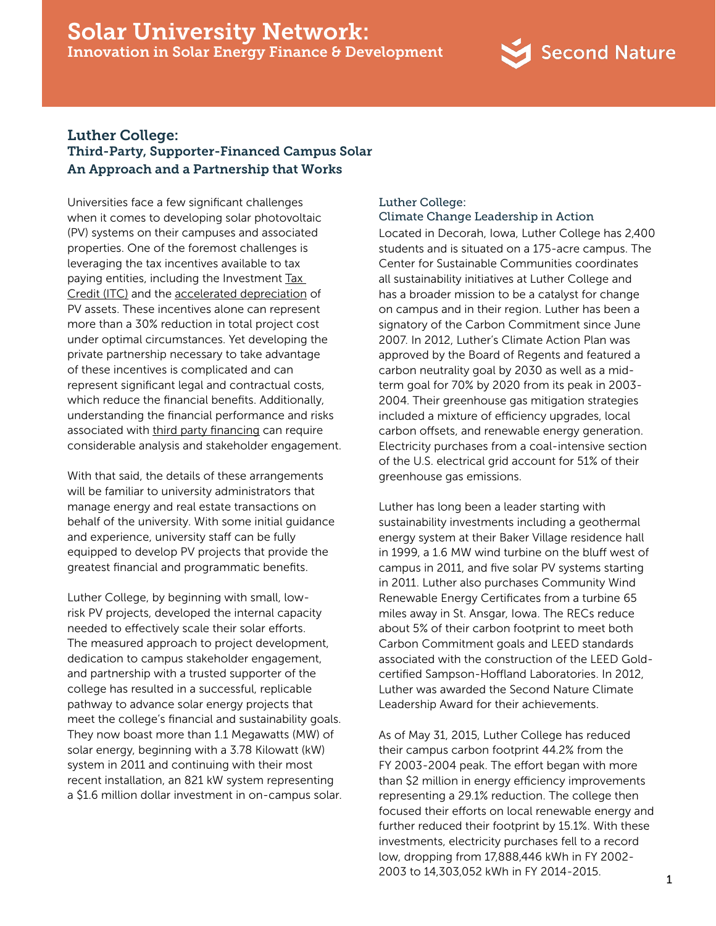# Solar University Network: Innovation in Solar Energy Finance & Development



# Luther College: Third-Party, Supporter-Financed Campus Solar An Approach and a Partnership that Works

Universities face a few significant challenges when it comes to developing solar photovoltaic (PV) systems on their campuses and associated properties. One of the foremost challenges is leveraging the tax incentives available to tax paying entities, including the Investment Tax [Credit \(ITC\)](http://www.seia.org/policy/finance-tax/solar-investment-tax-credit) and the [accelerated depreciation](http://www.seia.org/policy/finance-tax/depreciation-solar-energy-property-macrs) of PV assets. These incentives alone can represent more than a 30% reduction in total project cost under optimal circumstances. Yet developing the private partnership necessary to take advantage of these incentives is complicated and can represent significant legal and contractual costs, which reduce the financial benefits. Additionally, understanding the financial performance and risks associated with [third party financing](http://www.seia.org/policy/finance-tax/third-party-financing) can require considerable analysis and stakeholder engagement.

With that said, the details of these arrangements will be familiar to university administrators that manage energy and real estate transactions on behalf of the university. With some initial guidance and experience, university staff can be fully equipped to develop PV projects that provide the greatest financial and programmatic benefits.

Luther College, by beginning with small, lowrisk PV projects, developed the internal capacity needed to effectively scale their solar efforts. The measured approach to project development, dedication to campus stakeholder engagement, and partnership with a trusted supporter of the college has resulted in a successful, replicable pathway to advance solar energy projects that meet the college's financial and sustainability goals. They now boast more than 1.1 Megawatts (MW) of solar energy, beginning with a 3.78 Kilowatt (kW) system in 2011 and continuing with their most recent installation, an 821 kW system representing a \$1.6 million dollar investment in on-campus solar.

# Luther College: Climate Change Leadership in Action

Located in Decorah, Iowa, Luther College has 2,400 students and is situated on a 175-acre campus. The Center for Sustainable Communities coordinates all sustainability initiatives at Luther College and has a broader mission to be a catalyst for change on campus and in their region. Luther has been a signatory of the Carbon Commitment since June 2007. In 2012, Luther's Climate Action Plan was approved by the Board of Regents and featured a carbon neutrality goal by 2030 as well as a midterm goal for 70% by 2020 from its peak in 2003- 2004. Their greenhouse gas mitigation strategies included a mixture of efficiency upgrades, local carbon offsets, and renewable energy generation. Electricity purchases from a coal-intensive section of the U.S. electrical grid account for 51% of their greenhouse gas emissions.

Luther has long been a leader starting with sustainability investments including a geothermal energy system at their Baker Village residence hall in 1999, a 1.6 MW wind turbine on the bluff west of campus in 2011, and five solar PV systems starting in 2011. Luther also purchases Community Wind Renewable Energy Certificates from a turbine 65 miles away in St. Ansgar, Iowa. The RECs reduce about 5% of their carbon footprint to meet both Carbon Commitment goals and LEED standards associated with the construction of the LEED Goldcertified Sampson-Hoffland Laboratories. In 2012, Luther was awarded the Second Nature Climate Leadership Award for their achievements.

As of May 31, 2015, Luther College has reduced their campus carbon footprint 44.2% from the FY 2003-2004 peak. The effort began with more than \$2 million in energy efficiency improvements representing a 29.1% reduction. The college then focused their efforts on local renewable energy and further reduced their footprint by 15.1%. With these investments, electricity purchases fell to a record low, dropping from 17,888,446 kWh in FY 2002- 2003 to 14,303,052 kWh in FY 2014-2015.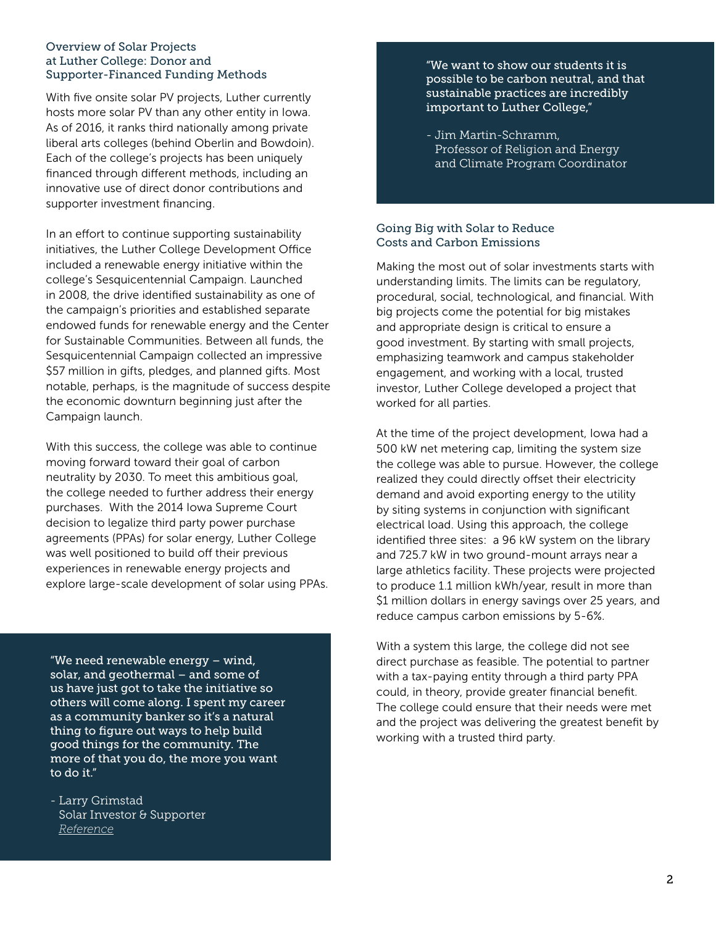## Overview of Solar Projects at Luther College: Donor and Supporter-Financed Funding Methods

With five onsite solar PV projects, Luther currently hosts more solar PV than any other entity in Iowa. As of 2016, it ranks third nationally among private liberal arts colleges (behind Oberlin and Bowdoin). Each of the college's projects has been uniquely financed through different methods, including an innovative use of direct donor contributions and supporter investment financing.

In an effort to continue supporting sustainability initiatives, the Luther College Development Office included a renewable energy initiative within the college's Sesquicentennial Campaign. Launched in 2008, the drive identified sustainability as one of the campaign's priorities and established separate endowed funds for renewable energy and the Center for Sustainable Communities. Between all funds, the Sesquicentennial Campaign collected an impressive \$57 million in gifts, pledges, and planned gifts. Most notable, perhaps, is the magnitude of success despite the economic downturn beginning just after the Campaign launch.

With this success, the college was able to continue moving forward toward their goal of carbon neutrality by 2030. To meet this ambitious goal, the college needed to further address their energy purchases. With the 2014 Iowa Supreme Court decision to legalize third party power purchase agreements (PPAs) for solar energy, Luther College was well positioned to build off their previous experiences in renewable energy projects and explore large-scale development of solar using PPAs.

"We need renewable energy – wind, solar, and geothermal – and some of us have just got to take the initiative so others will come along. I spent my career as a community banker so it's a natural thing to figure out ways to help build good things for the community. The more of that you do, the more you want to do it."

- Larry Grimstad Solar Investor & Supporter  *[Reference](http://iloveinspired.com/people/live-generously-larry-grimstad/))*

"We want to show our students it is possible to be carbon neutral, and that sustainable practices are incredibly important to Luther College,"

- Jim Martin-Schramm, Professor of Religion and Energy and Climate Program Coordinator

# Going Big with Solar to Reduce Costs and Carbon Emissions

Making the most out of solar investments starts with understanding limits. The limits can be regulatory, procedural, social, technological, and financial. With big projects come the potential for big mistakes and appropriate design is critical to ensure a good investment. By starting with small projects, emphasizing teamwork and campus stakeholder engagement, and working with a local, trusted investor, Luther College developed a project that worked for all parties.

At the time of the project development, Iowa had a 500 kW net metering cap, limiting the system size the college was able to pursue. However, the college realized they could directly offset their electricity demand and avoid exporting energy to the utility by siting systems in conjunction with significant electrical load. Using this approach, the college identified three sites: a 96 kW system on the library and 725.7 kW in two ground-mount arrays near a large athletics facility. These projects were projected to produce 1.1 million kWh/year, result in more than \$1 million dollars in energy savings over 25 years, and reduce campus carbon emissions by 5-6%.

With a system this large, the college did not see direct purchase as feasible. The potential to partner with a tax-paying entity through a third party PPA could, in theory, provide greater financial benefit. The college could ensure that their needs were met and the project was delivering the greatest benefit by working with a trusted third party.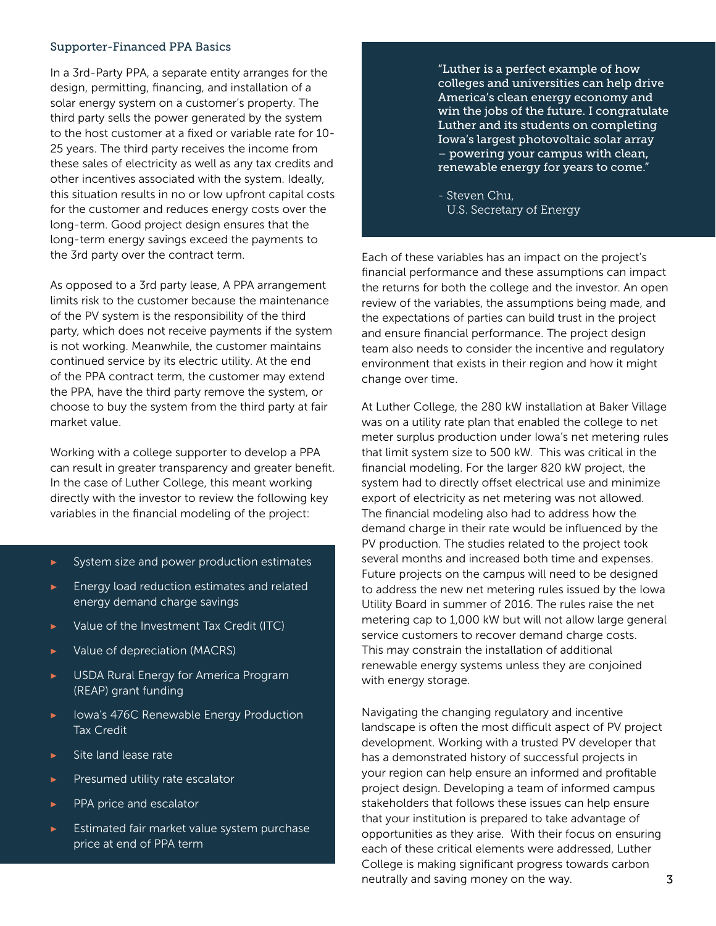#### Supporter-Financed PPA Basics

In a 3rd-Party PPA, a separate entity arranges for the design, permitting, financing, and installation of a solar energy system on a customer's property. The third party sells the power generated by the system to the host customer at a fixed or variable rate for 10- 25 years. The third party receives the income from these sales of electricity as well as any tax credits and other incentives associated with the system. Ideally, this situation results in no or low upfront capital costs for the customer and reduces energy costs over the long-term. Good project design ensures that the long-term energy savings exceed the payments to the 3rd party over the contract term.

As opposed to a 3rd party lease, A PPA arrangement limits risk to the customer because the maintenance of the PV system is the responsibility of the third party, which does not receive payments if the system is not working. Meanwhile, the customer maintains continued service by its electric utility. At the end of the PPA contract term, the customer may extend the PPA, have the third party remove the system, or choose to buy the system from the third party at fair market value.

Working with a college supporter to develop a PPA can result in greater transparency and greater benefit. In the case of Luther College, this meant working directly with the investor to review the following key variables in the financial modeling of the project:

- **▶** System size and power production estimates
- **▶** Energy load reduction estimates and related energy demand charge savings
- **▶** Value of the Investment Tax Credit (ITC)
- **▶** Value of depreciation (MACRS)
- **▶** USDA Rural Energy for America Program (REAP) grant funding
- **▶** Iowa's 476C Renewable Energy Production Tax Credit
- **▶** Site land lease rate
- **▶** Presumed utility rate escalator
- **▶** PPA price and escalator
- **▶** Estimated fair market value system purchase price at end of PPA term

"Luther is a perfect example of how colleges and universities can help drive America's clean energy economy and win the jobs of the future. I congratulate Luther and its students on completing Iowa's largest photovoltaic solar array – powering your campus with clean, renewable energy for years to come."

- Steven Chu, U.S. Secretary of Energy

Each of these variables has an impact on the project's financial performance and these assumptions can impact the returns for both the college and the investor. An open review of the variables, the assumptions being made, and the expectations of parties can build trust in the project and ensure financial performance. The project design team also needs to consider the incentive and regulatory environment that exists in their region and how it might change over time.

At Luther College, the 280 kW installation at Baker Village was on a utility rate plan that enabled the college to net meter surplus production under Iowa's net metering rules that limit system size to 500 kW. This was critical in the financial modeling. For the larger 820 kW project, the system had to directly offset electrical use and minimize export of electricity as net metering was not allowed. The financial modeling also had to address how the demand charge in their rate would be influenced by the PV production. The studies related to the project took several months and increased both time and expenses. Future projects on the campus will need to be designed to address the new net metering rules issued by the Iowa Utility Board in summer of 2016. The rules raise the net metering cap to 1,000 kW but will not allow large general service customers to recover demand charge costs. This may constrain the installation of additional renewable energy systems unless they are conjoined with energy storage.

Navigating the changing regulatory and incentive landscape is often the most difficult aspect of PV project development. Working with a trusted PV developer that has a demonstrated history of successful projects in your region can help ensure an informed and profitable project design. Developing a team of informed campus stakeholders that follows these issues can help ensure that your institution is prepared to take advantage of opportunities as they arise. With their focus on ensuring each of these critical elements were addressed, Luther College is making significant progress towards carbon neutrally and saving money on the way.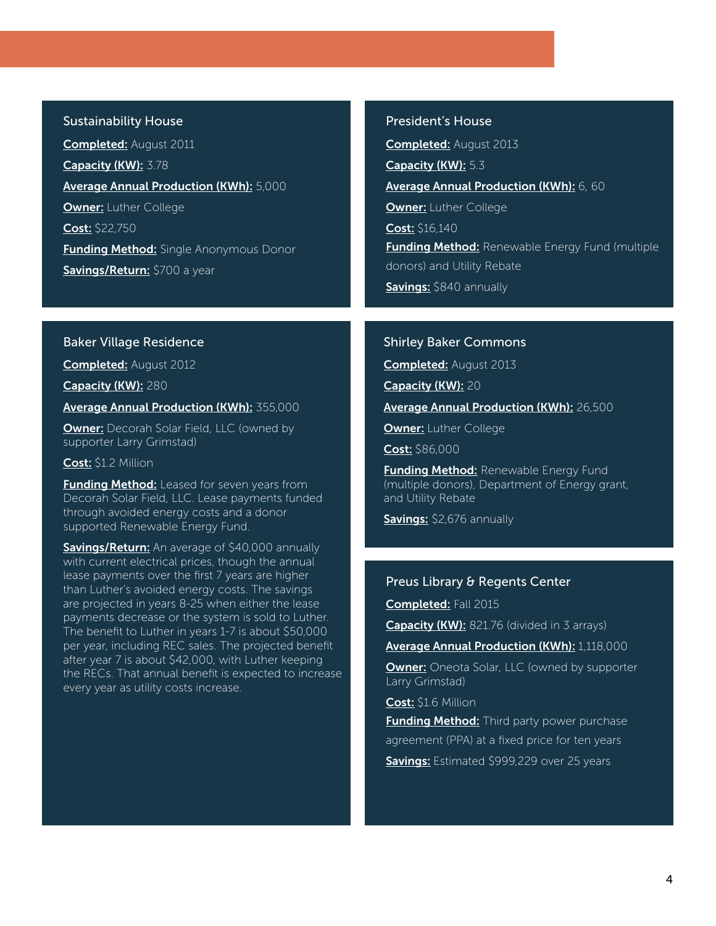#### Sustainability House

Completed: August 2011 Capacity (KW): 3.78 Average Annual Production (KWh): 5,000 **Owner: Luther College** Cost: \$22,750 **Funding Method:** Single Anonymous Donor Savings/Return: \$700 a year

# President's House

Completed: August 2013 Capacity (KW): 5.3 Average Annual Production (KWh): 6, 60 **Owner: Luther College** Cost: \$16,140 **Funding Method:** Renewable Energy Fund (multiple) donors) and Utility Rebate Savings: \$840 annually

# Baker Village Residence

Completed: August 2012

Capacity (KW): 280

Average Annual Production (KWh): 355,000

**Owner:** Decorah Solar Field, LLC (owned by supporter Larry Grimstad)

# Cost: \$1.2 Million

Funding Method: Leased for seven years from Decorah Solar Field, LLC. Lease payments funded through avoided energy costs and a donor supported Renewable Energy Fund.

Savings/Return: An average of \$40,000 annually with current electrical prices, though the annual lease payments over the first 7 years are higher than Luther's avoided energy costs. The savings are projected in years 8-25 when either the lease payments decrease or the system is sold to Luther. The benefit to Luther in years 1-7 is about \$50,000 per year, including REC sales. The projected benefit after year 7 is about \$42,000, with Luther keeping the RECs. That annual benefit is expected to increase every year as utility costs increase.

#### Shirley Baker Commons

Completed: August 2013

Capacity (KW): 20

Average Annual Production (KWh): 26,500

**Owner:** Luther College

Cost: \$86,000

**Funding Method: Renewable Energy Fund** (multiple donors), Department of Energy grant, and Utility Rebate

Savings: \$2,676 annually

# Preus Library & Regents Center

Completed: Fall 2015

Capacity (KW): 821.76 (divided in 3 arrays)

Average Annual Production (KWh): 1,118,000

**Owner:** Oneota Solar, LLC (owned by supporter Larry Grimstad)

Cost: \$1.6 Million

**Funding Method:** Third party power purchase agreement (PPA) at a fixed price for ten years Savings: Estimated \$999,229 over 25 years